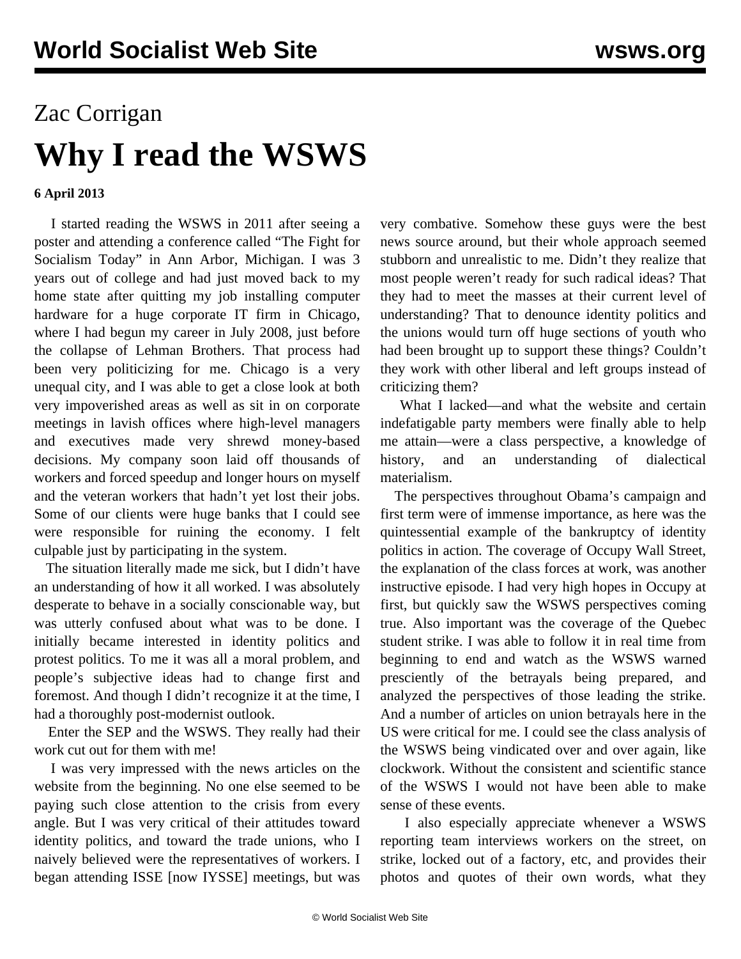## Zac Corrigan **Why I read the WSWS**

## **6 April 2013**

 I started reading the WSWS in 2011 after seeing a poster and attending a conference called "The Fight for Socialism Today" in Ann Arbor, Michigan. I was 3 years out of college and had just moved back to my home state after quitting my job installing computer hardware for a huge corporate IT firm in Chicago, where I had begun my career in July 2008, just before the collapse of Lehman Brothers. That process had been very politicizing for me. Chicago is a very unequal city, and I was able to get a close look at both very impoverished areas as well as sit in on corporate meetings in lavish offices where high-level managers and executives made very shrewd money-based decisions. My company soon laid off thousands of workers and forced speedup and longer hours on myself and the veteran workers that hadn't yet lost their jobs. Some of our clients were huge banks that I could see were responsible for ruining the economy. I felt culpable just by participating in the system.

 The situation literally made me sick, but I didn't have an understanding of how it all worked. I was absolutely desperate to behave in a socially conscionable way, but was utterly confused about what was to be done. I initially became interested in identity politics and protest politics. To me it was all a moral problem, and people's subjective ideas had to change first and foremost. And though I didn't recognize it at the time, I had a thoroughly post-modernist outlook.

 Enter the SEP and the WSWS. They really had their work cut out for them with me!

 I was very impressed with the news articles on the website from the beginning. No one else seemed to be paying such close attention to the crisis from every angle. But I was very critical of their attitudes toward identity politics, and toward the trade unions, who I naively believed were the representatives of workers. I began attending ISSE [now IYSSE] meetings, but was

very combative. Somehow these guys were the best news source around, but their whole approach seemed stubborn and unrealistic to me. Didn't they realize that most people weren't ready for such radical ideas? That they had to meet the masses at their current level of understanding? That to denounce identity politics and the unions would turn off huge sections of youth who had been brought up to support these things? Couldn't they work with other liberal and left groups instead of criticizing them?

 What I lacked—and what the website and certain indefatigable party members were finally able to help me attain—were a class perspective, a knowledge of history, and an understanding of dialectical materialism.

 The perspectives throughout Obama's campaign and first term were of immense importance, as here was the quintessential example of the bankruptcy of identity politics in action. The coverage of Occupy Wall Street, the explanation of the class forces at work, was another instructive episode. I had very high hopes in Occupy at first, but quickly saw the WSWS perspectives coming true. Also important was the coverage of the Quebec student strike. I was able to follow it in real time from beginning to end and watch as the WSWS warned presciently of the betrayals being prepared, and analyzed the perspectives of those leading the strike. And a number of articles on union betrayals here in the US were critical for me. I could see the class analysis of the WSWS being vindicated over and over again, like clockwork. Without the consistent and scientific stance of the WSWS I would not have been able to make sense of these events.

 I also especially appreciate whenever a WSWS reporting team interviews workers on the street, on strike, locked out of a factory, etc, and provides their photos and quotes of their own words, what they